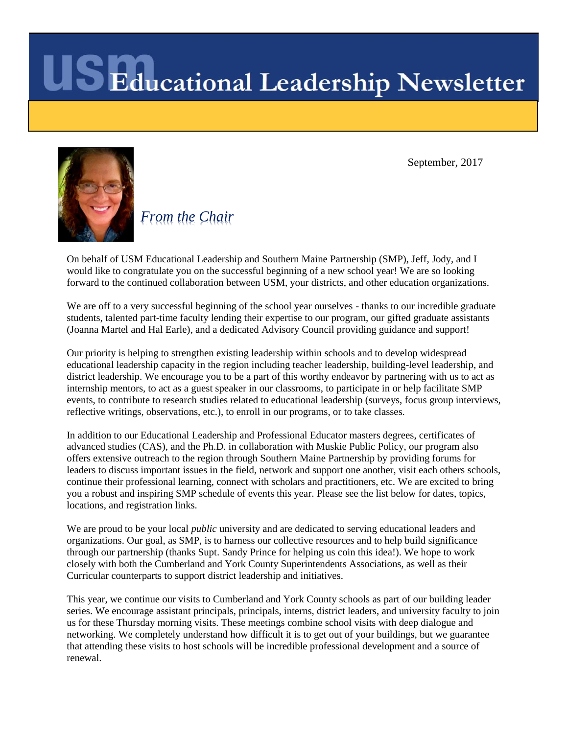September, 2017



*From the Chair*

On behalf of USM Educational Leadership and Southern Maine Partnership (SMP), Jeff, Jody, and I would like to congratulate you on the successful beginning of a new school year! We are so looking forward to the continued collaboration between USM, your districts, and other education organizations.

We are off to a very successful beginning of the school year ourselves - thanks to our incredible graduate students, talented part-time faculty lending their expertise to our program, our gifted graduate assistants (Joanna Martel and Hal Earle), and a dedicated Advisory Council providing guidance and support!

Our priority is helping to strengthen existing leadership within schools and to develop widespread educational leadership capacity in the region including teacher leadership, building-level leadership, and district leadership. We encourage you to be a part of this worthy endeavor by partnering with us to act as internship mentors, to act as a guest speaker in our classrooms, to participate in or help facilitate SMP events, to contribute to research studies related to educational leadership (surveys, focus group interviews, reflective writings, observations, etc.), to enroll in our programs, or to take classes.

In addition to our Educational Leadership and Professional Educator masters degrees, certificates of advanced studies (CAS), and the Ph.D. in collaboration with Muskie Public Policy, our program also offers extensive outreach to the region through Southern Maine Partnership by providing forums for leaders to discuss important issues in the field, network and support one another, visit each others schools, continue their professional learning, connect with scholars and practitioners, etc. We are excited to bring you a robust and inspiring SMP schedule of events this year. Please see the list below for dates, topics, locations, and registration links.

We are proud to be your local *public* university and are dedicated to serving educational leaders and organizations. Our goal, as SMP, is to harness our collective resources and to help build significance through our partnership (thanks Supt. Sandy Prince for helping us coin this idea!). We hope to work closely with both the Cumberland and York County Superintendents Associations, as well as their Curricular counterparts to support district leadership and initiatives.

This year, we continue our visits to Cumberland and York County schools as part of our building leader series. We encourage assistant principals, principals, interns, district leaders, and university faculty to join us for these Thursday morning visits. These meetings combine school visits with deep dialogue and networking. We completely understand how difficult it is to get out of your buildings, but we guarantee that attending these visits to host schools will be incredible professional development and a source of renewal.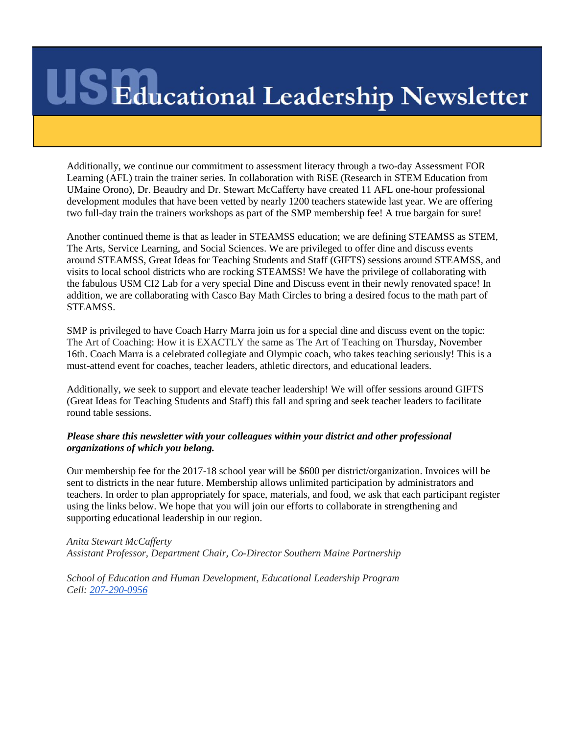Additionally, we continue our commitment to assessment literacy through a two-day Assessment FOR Learning (AFL) train the trainer series. In collaboration with RiSE (Research in STEM Education from UMaine Orono), Dr. Beaudry and Dr. Stewart McCafferty have created 11 AFL one-hour professional development modules that have been vetted by nearly 1200 teachers statewide last year. We are offering two full-day train the trainers workshops as part of the SMP membership fee! A true bargain for sure!

Another continued theme is that as leader in STEAMSS education; we are defining STEAMSS as STEM, The Arts, Service Learning, and Social Sciences. We are privileged to offer dine and discuss events around STEAMSS, Great Ideas for Teaching Students and Staff (GIFTS) sessions around STEAMSS, and visits to local school districts who are rocking STEAMSS! We have the privilege of collaborating with the fabulous USM CI2 Lab for a very special Dine and Discuss event in their newly renovated space! In addition, we are collaborating with Casco Bay Math Circles to bring a desired focus to the math part of STEAMSS.

SMP is privileged to have Coach Harry Marra join us for a special dine and discuss event on the topic: The Art of Coaching: How it is EXACTLY the same as The Art of Teaching on Thursday, November 16th. Coach Marra is a celebrated collegiate and Olympic coach, who takes teaching seriously! This is a must-attend event for coaches, teacher leaders, athletic directors, and educational leaders.

Additionally, we seek to support and elevate teacher leadership! We will offer sessions around GIFTS (Great Ideas for Teaching Students and Staff) this fall and spring and seek teacher leaders to facilitate round table sessions.

#### *Please share this newsletter with your colleagues within your district and other professional organizations of which you belong.*

Our membership fee for the 2017-18 school year will be \$600 per district/organization. Invoices will be sent to districts in the near future. Membership allows unlimited participation by administrators and teachers. In order to plan appropriately for space, materials, and food, we ask that each participant register using the links below. We hope that you will join our efforts to collaborate in strengthening and supporting educational leadership in our region.

*Anita Stewart McCafferty Assistant Professor, Department Chair, Co-Director Southern Maine Partnership*

*School of Education and Human Development, Educational Leadership Program Cell: [207-290-0956](tel:(207)%20290-0956)*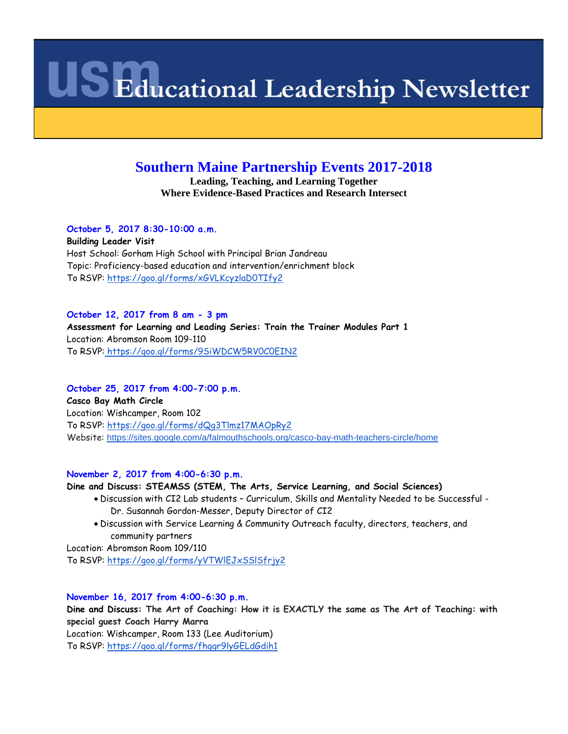### **Southern Maine Partnership Events 2017-2018**

**Leading, Teaching, and Learning Together Where Evidence-Based Practices and Research Intersect**

#### **October 5, 2017 8:30-10:00 a.m.**

**Building Leader Visit** Host School: Gorham High School with Principal Brian Jandreau Topic: Proficiency-based education and intervention/enrichment block To RSVP: <https://goo.gl/forms/xGVLKcyzlaD0TIfy2>

#### **October 12, 2017 from 8 am - 3 pm**

**Assessment for Learning and Leading Series: Train the Trainer Modules Part 1** Location: Abromson Room 109-110 To RSVP: <https://goo.gl/forms/9SiWDCW5RV0C0EIN2>

**October 25, 2017 from 4:00-7:00 p.m.**

**Casco Bay Math Circle** Location: Wishcamper, Room 102 To RSVP: <https://goo.gl/forms/dQg3Tlmz17MAOpRy2> Website: <https://sites.google.com/a/falmouthschools.org/casco-bay-math-teachers-circle/home>

#### **November 2, 2017 from 4:00-6:30 p.m.**

**Dine and Discuss: STEAMSS (STEM, The Arts, Service Learning, and Social Sciences)** 

- Discussion with CI2 Lab students Curriculum, Skills and Mentality Needed to be Successful Dr. Susannah Gordon-Messer, Deputy Director of CI2
- Discussion with Service Learning & Community Outreach faculty, directors, teachers, and community partners

Location: Abromson Room 109/110

To RSVP: <https://goo.gl/forms/yVTWlEJxSSlSfrjy2>

**November 16, 2017 from 4:00-6:30 p.m.**

**Dine and Discuss: The Art of Coaching: How it is EXACTLY the same as The Art of Teaching: with special guest Coach Harry Marra**

Location: Wishcamper, Room 133 (Lee Auditorium)

To RSVP: <https://goo.gl/forms/fhggr9lyGELdGdih1>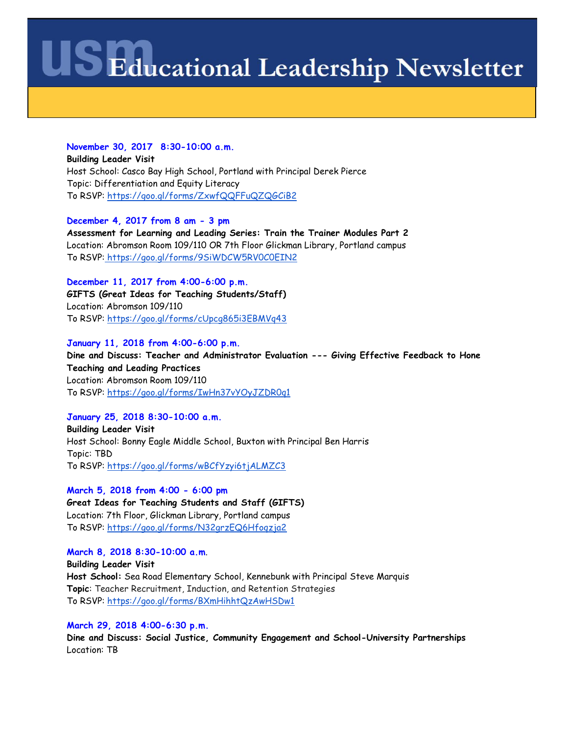#### **November 30, 2017 8:30-10:00 a.m.**

**Building Leader Visit** Host School: Casco Bay High School, Portland with Principal Derek Pierce Topic: Differentiation and Equity Literacy To RSVP:<https://goo.gl/forms/ZxwfQQFFuQZQGCiB2>

**December 4, 2017 from 8 am - 3 pm Assessment for Learning and Leading Series: Train the Trainer Modules Part 2** Location: Abromson Room 109/110 OR 7th Floor Glickman Library, Portland campus

To RSVP: <https://goo.gl/forms/9SiWDCW5RV0C0EIN2>

**December 11, 2017 from 4:00-6:00 p.m. GIFTS (Great Ideas for Teaching Students/Staff)** Location: Abromson 109/110 To RSVP:<https://goo.gl/forms/cUpcg865i3EBMVq43>

#### **January 11, 2018 from 4:00-6:00 p.m.**

**Dine and Discuss: Teacher and Administrator Evaluation --- Giving Effective Feedback to Hone Teaching and Leading Practices** Location: Abromson Room 109/110 To RSVP:<https://goo.gl/forms/IwHn37vYOyJZDR0q1>

#### **January 25, 2018 8:30-10:00 a.m.**

**Building Leader Visit** Host School: Bonny Eagle Middle School, Buxton with Principal Ben Harris Topic: TBD To RSVP:<https://goo.gl/forms/wBCfYzyi6tjALMZC3>

**March 5, 2018 from 4:00 - 6:00 pm Great Ideas for Teaching Students and Staff (GIFTS)** Location: 7th Floor, Glickman Library, Portland campus To RSVP:<https://goo.gl/forms/N32grzEQ6Hfoqzja2>

**March 8, 2018 8:30-10:00 a.m**. **Building Leader Visit Host School:** Sea Road Elementary School, Kennebunk with Principal Steve Marquis **Topic**: Teacher Recruitment, Induction, and Retention Strategies To RSVP:<https://goo.gl/forms/BXmHihhtQzAwHSDw1>

**March 29, 2018 4:00-6:30 p.m.**

**Dine and Discuss: Social Justice, Community Engagement and School-University Partnerships** Location: TB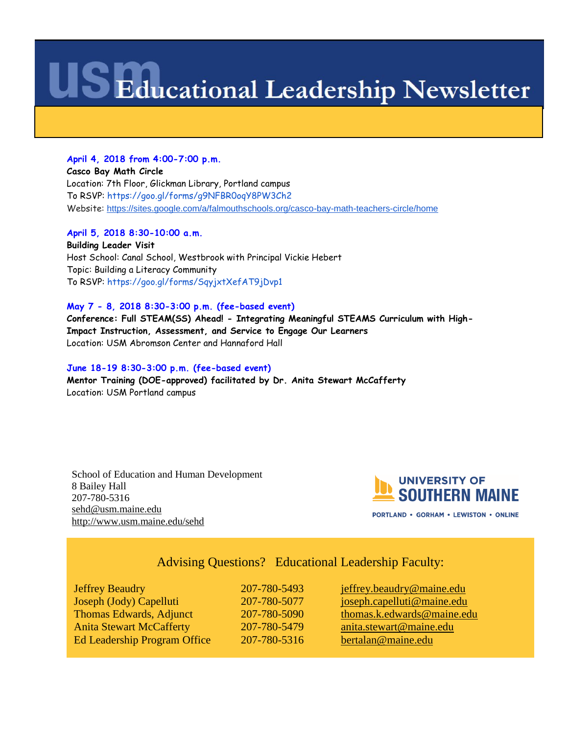#### **April 4, 2018 from 4:00-7:00 p.m.**

**Casco Bay Math Circle** Location: 7th Floor, Glickman Library, Portland campus To RSVP:<https://goo.gl/forms/g9NFBR0oqY8PW3Ch2> Website: <https://sites.google.com/a/falmouthschools.org/casco-bay-math-teachers-circle/home>

#### **April 5, 2018 8:30-10:00 a.m.**

**Building Leader Visit** Host School: Canal School, Westbrook with Principal Vickie Hebert Topic: Building a Literacy Community To RSVP: <https://goo.gl/forms/SqyjxtXefAT9jDvp1>

#### **May 7 - 8, 2018 8:30-3:00 p.m. (fee-based event)**

**Conference: Full STEAM(SS) Ahead! - Integrating Meaningful STEAMS Curriculum with High-Impact Instruction, Assessment, and Service to Engage Our Learners** Location: USM Abromson Center and Hannaford Hall

#### **June 18-19 8:30-3:00 p.m. (fee-based event)**

**Mentor Training (DOE-approved) facilitated by Dr. Anita Stewart McCafferty** Location: USM Portland campus

School of Education and Human Development 8 Bailey Hall 207-780-5316 [sehd@usm.maine.edu](mailto:sehd@usm.maine.edu) <http://www.usm.maine.edu/sehd>



**PORTLAND · GORHAM · LEWISTON · ONLINE** 

### Advising Questions? Educational Leadership Faculty:

| <b>Jeffrey Beaudry</b>          | 207-780-5493 | jeffrey.beaudry@maine.edu  |
|---------------------------------|--------------|----------------------------|
| Joseph (Jody) Capelluti         | 207-780-5077 | joseph.capelluti@maine.edu |
| Thomas Edwards, Adjunct         | 207-780-5090 | thomas.k.edwards@maine.edu |
| <b>Anita Stewart McCafferty</b> | 207-780-5479 | anita.stewart@maine.edu    |
| Ed Leadership Program Office    | 207-780-5316 | bertalan@maine.edu         |